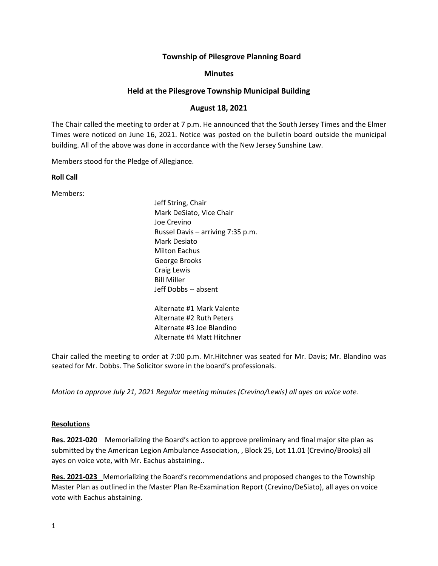## **Township of Pilesgrove Planning Board**

#### **Minutes**

## **Held at the Pilesgrove Township Municipal Building**

## **August 18, 2021**

The Chair called the meeting to order at 7 p.m. He announced that the South Jersey Times and the Elmer Times were noticed on June 16, 2021. Notice was posted on the bulletin board outside the municipal building. All of the above was done in accordance with the New Jersey Sunshine Law.

Members stood for the Pledge of Allegiance.

**Roll Call**

Members:

Jeff String, Chair Mark DeSiato, Vice Chair Joe Crevino Russel Davis – arriving 7:35 p.m. Mark Desiato Milton Eachus George Brooks Craig Lewis Bill Miller Jeff Dobbs -- absent

Alternate #1 Mark Valente Alternate #2 Ruth Peters Alternate #3 Joe Blandino Alternate #4 Matt Hitchner

Chair called the meeting to order at 7:00 p.m. Mr.Hitchner was seated for Mr. Davis; Mr. Blandino was seated for Mr. Dobbs. The Solicitor swore in the board's professionals.

*Motion to approve July 21, 2021 Regular meeting minutes (Crevino/Lewis) all ayes on voice vote.*

#### **Resolutions**

**Res. 2021-020** Memorializing the Board's action to approve preliminary and final major site plan as submitted by the American Legion Ambulance Association, , Block 25, Lot 11.01 (Crevino/Brooks) all ayes on voice vote, with Mr. Eachus abstaining..

**Res. 2021-023** Memorializing the Board's recommendations and proposed changes to the Township Master Plan as outlined in the Master Plan Re-Examination Report (Crevino/DeSiato), all ayes on voice vote with Eachus abstaining.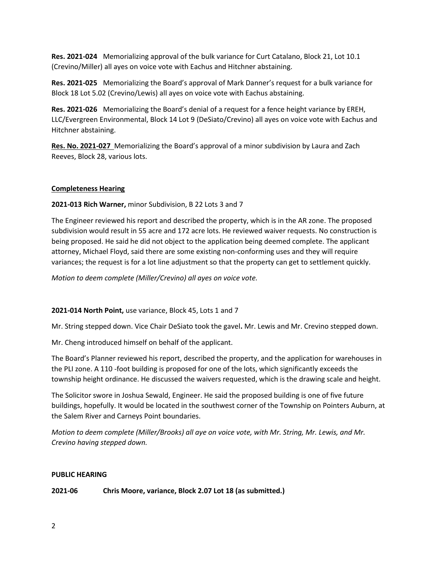**Res. 2021-024** Memorializing approval of the bulk variance for Curt Catalano, Block 21, Lot 10.1 (Crevino/Miller) all ayes on voice vote with Eachus and Hitchner abstaining.

**Res. 2021-025** Memorializing the Board's approval of Mark Danner's request for a bulk variance for Block 18 Lot 5.02 (Crevino/Lewis) all ayes on voice vote with Eachus abstaining.

**Res. 2021-026** Memorializing the Board's denial of a request for a fence height variance by EREH, LLC/Evergreen Environmental, Block 14 Lot 9 (DeSiato/Crevino) all ayes on voice vote with Eachus and Hitchner abstaining.

**Res. No. 2021-027** Memorializing the Board's approval of a minor subdivision by Laura and Zach Reeves, Block 28, various lots.

## **Completeness Hearing**

**2021-013 Rich Warner,** minor Subdivision, B 22 Lots 3 and 7

The Engineer reviewed his report and described the property, which is in the AR zone. The proposed subdivision would result in 55 acre and 172 acre lots. He reviewed waiver requests. No construction is being proposed. He said he did not object to the application being deemed complete. The applicant attorney, Michael Floyd, said there are some existing non-conforming uses and they will require variances; the request is for a lot line adjustment so that the property can get to settlement quickly.

*Motion to deem complete (Miller/Crevino) all ayes on voice vote.*

# **2021-014 North Point,** use variance, Block 45, Lots 1 and 7

Mr. String stepped down. Vice Chair DeSiato took the gavel**.** Mr. Lewis and Mr. Crevino stepped down.

Mr. Cheng introduced himself on behalf of the applicant.

The Board's Planner reviewed his report, described the property, and the application for warehouses in the PLI zone. A 110 -foot building is proposed for one of the lots, which significantly exceeds the township height ordinance. He discussed the waivers requested, which is the drawing scale and height.

The Solicitor swore in Joshua Sewald, Engineer. He said the proposed building is one of five future buildings, hopefully. It would be located in the southwest corner of the Township on Pointers Auburn, at the Salem River and Carneys Point boundaries.

*Motion to deem complete (Miller/Brooks) all aye on voice vote, with Mr. String, Mr. Lewis, and Mr. Crevino having stepped down.*

# **PUBLIC HEARING**

# **2021-06 Chris Moore, variance, Block 2.07 Lot 18 (as submitted.)**